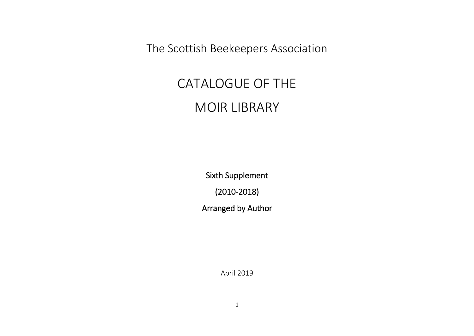The Scottish Beekeepers Association

## CATALOGUE OF THE MOIR LIBRARY

Sixth Supplement (2010-2018) Arranged by Author

April 2019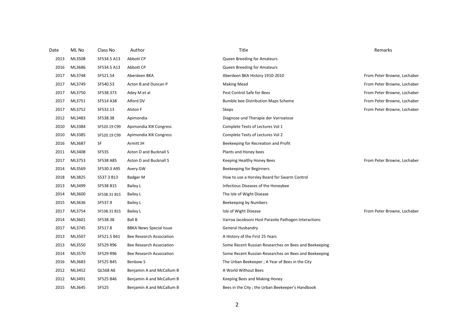| Date | ML No  | Class No        | Author                         | Title                                                 | Remarks                     |
|------|--------|-----------------|--------------------------------|-------------------------------------------------------|-----------------------------|
| 2013 | ML3508 | SF534.5 A13     | Abbott CP                      | Queen Breeding for Amateurs                           |                             |
| 2016 | ML3686 | SF534.5 A13     | Abbott CP                      | Queen Breeding for Amateurs                           |                             |
| 2017 | ML3748 | SF521.54        | Aberdeen BKA                   | Aberdeen BKA History 1910-2010                        | From Peter Browne, Lochaber |
| 2017 | ML3749 | SF540.53        | Acton B and Duncan P           | <b>Making Mead</b>                                    | From Peter Browne, Lochaber |
| 2017 | ML3750 | SF538.373       | Adey M et al                   | Pest Control Safe for Bees                            | From Peter Browne, Lochaber |
| 2017 | ML3751 | SF514 A38       | Alford DV                      | Bumble bee Distribution Maps Scheme                   | From Peter Browne, Lochaber |
| 2017 | ML3752 | SF532.13        | Alston F                       | Skeps                                                 | From Peter Browne, Lochaber |
| 2012 | ML3483 | SF538.38        | Apimondia                      | Diagnose und Therapie der Varroatose                  |                             |
| 2010 | ML3384 | SF520.19 C99    | Apimondia XIX Congress         | Complete Texts of Lectures Vol 1                      |                             |
| 2010 | ML3385 | SF520.19 C99    | Apimondia XIX Congress         | Complete Texts of Lectures Vol 2                      |                             |
| 2016 | ML3687 | SF              | Armitt JH                      | Beekeeping for Recreation and Profit                  |                             |
| 2011 | ML3408 | <b>SF535</b>    | Aston D and Bucknall S         | Plants and Honey bees                                 |                             |
| 2017 | ML3753 | SF538 A85       | Aston D and Bucknall S         | Keeping Healthy Honey Bees                            | From Peter Browne, Lochaber |
| 2014 | ML3569 | SF530.3 A95     | Avery GW                       | Beekeeping for Beginners                              |                             |
| 2018 | ML3825 | S537.3 B13      | Badger M                       | How to use a Horsley Board for Swarm Control          |                             |
| 2013 | ML3499 | SF538 B15       | <b>Bailey L</b>                | Infectious Diseases of the Honeybee                   |                             |
| 2014 | ML3600 | SF538.31 B15    | Bailey L                       | The Isle of Wight Disease                             |                             |
| 2015 | ML3636 | SF537.9         | <b>Bailey L</b>                | Beekeeping by Numbers                                 |                             |
| 2017 | ML3754 | SF538.31 B15    | Bailey L                       | Isle of Wight Disease                                 | From Peter Browne, Lochaber |
| 2014 | ML3601 | SF538.38        | Ball B                         | Varroa Jacobsoni Host Parasite Pathogen Interactions  |                             |
| 2017 | ML3745 | SF517.8         | <b>BBKA News Special Issue</b> | General Husbandry                                     |                             |
| 2013 | ML3507 | SF521.5 B41     | Bee Research Association       | A History of the First 25 Years                       |                             |
| 2013 | ML3550 | SF529 R96       | Bee Research Association       | Some Recent Russian Researches on Bees and Beekeeping |                             |
| 2014 | ML3570 | SF529 R96       | Bee Research Association       | Some Recent Russian Researches on Bees and Beekeeping |                             |
| 2016 | ML3683 | SF525 B45       | Benbow S                       | The Urban Beekeeper; A Year of Bees in the City       |                             |
| 2012 | ML3452 | <b>QL568 A6</b> | Benjamin A and McCallum B      | A World Without Bees                                  |                             |
| 2012 | ML3491 | SF525 B46       | Benjamin A and McCallum B      | Keeping Bees and Making Honey                         |                             |
| 2015 | ML3645 | <b>SF525</b>    | Benjamin A and McCallum B      | Bees in the City; the Urban Beekeeper's Handbook      |                             |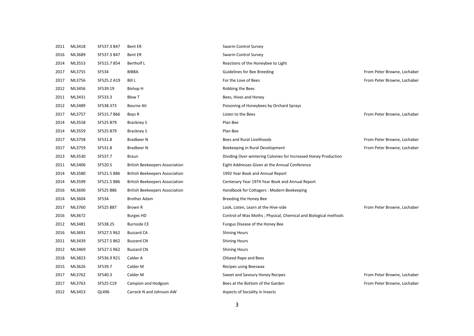| 2011 | ML3418 | SF537.3 B47 | <b>Bent ER</b>                        | <b>Swarm Control Survey</b>                                      |                             |
|------|--------|-------------|---------------------------------------|------------------------------------------------------------------|-----------------------------|
| 2016 | ML3689 | SF537.3 B47 | <b>Bent ER</b>                        | <b>Swarm Control Survey</b>                                      |                             |
| 2014 | ML3553 | SF515.7 B54 | <b>Bertholf L</b>                     | Reactions of the Honeybee to Light                               |                             |
| 2017 | ML3755 | SF534       | <b>BIBBA</b>                          | <b>Guidelines for Bee Breeding</b>                               | From Peter Browne, Lochaber |
| 2017 | ML3756 | SF525.2 A19 | Bill L                                | For the Love of Bees                                             | From Peter Browne, Lochaber |
| 2012 | ML3456 | SF539.19    | <b>Bishop H</b>                       | Robbing the Bees                                                 |                             |
| 2011 | ML3431 | SF533.3     | <b>Blow T</b>                         | Bees, Hives and Honey                                            |                             |
| 2012 | ML3489 | SF538.373   | <b>Bourne All</b>                     | Poisoning of Honeybees by Orchard Sprays                         |                             |
| 2017 | ML3757 | SF515.7 B66 | Boys R                                | Listen to the Bees                                               | From Peter Browne, Lochaber |
| 2014 | ML3558 | SF525 B79   | <b>Brackney S</b>                     | Plan Bee                                                         |                             |
| 2014 | ML3559 | SF525 B79   | <b>Brackney S</b>                     | Plan Bee                                                         |                             |
| 2017 | ML3758 | SF531.8     | <b>Bradbeer N</b>                     | Bees and Rural Livelihoods                                       | From Peter Browne, Lochaber |
| 2017 | ML3759 | SF531.8     | <b>Bradbeer N</b>                     | Beekeeping in Rural Development                                  | From Peter Browne, Lochaber |
| 2013 | ML3530 | SF537.7     | <b>Braun</b>                          | Dividing Over-wintering Colonies for Increased Honey Production  |                             |
| 2011 | ML3406 | SF520.5     | <b>British Beekeepers Association</b> | Eight Addresses Given at the Annual Conference                   |                             |
| 2014 | ML3580 | SF521.5 B86 | <b>British Beekeepers Association</b> | 1992 Year Book and Annual Report                                 |                             |
| 2014 | ML3599 | SF521.5 B86 | <b>British Beekeepers Association</b> | Centenary Year 1974 Year Book and Annual Report                  |                             |
| 2016 | ML3690 | SF525 B86   | <b>British Beekeepers Association</b> | Handbook for Cottagers: Modern Beekeeping                        |                             |
| 2014 | ML3604 | SF534       | <b>Brother Adam</b>                   | Breeding the Honey Bee                                           |                             |
| 2017 | ML3760 | SF525 B87   | Brown R                               | Look, Listen, Learn at the Hive-side                             | From Peter Browne, Lochaber |
| 2016 | ML3672 |             | <b>Burges HD</b>                      | Control of Wax Moths ; Physical, Chemical and Biological methods |                             |
| 2012 | ML3481 | SF538.25    | <b>Burnside CE</b>                    | Fungus Disease of the Honey Bee                                  |                             |
| 2016 | ML3691 | SF527.5 R62 | <b>Buzzard CA</b>                     | <b>Shining Hours</b>                                             |                             |
| 2011 | ML3439 | SF527.5 B62 | <b>Buzzard CN</b>                     | <b>Shining Hours</b>                                             |                             |
| 2012 | ML3469 | SF527.5 R62 | <b>Buzzard CN</b>                     | <b>Shining Hours</b>                                             |                             |
| 2018 | ML3823 | SF536.9 R21 | Calder A                              | Oilseed Rape and Bees                                            |                             |
| 2015 | ML3626 | SF539.7     | Calder M                              | Recipes using Beeswax                                            |                             |
| 2017 | ML3762 | SF540.3     | Calder M                              | Sweet and Savoury Honey Recipes                                  | From Peter Browne, Lochaber |
| 2017 | ML3763 | SF525 C19   | Campion and Hodgson                   | Bees at the Bottom of the Garden                                 | From Peter Browne, Lochaber |
| 2012 | ML3453 | QL496       | Carreck N and Johnson AW              | Aspects of Sociality in Insects                                  |                             |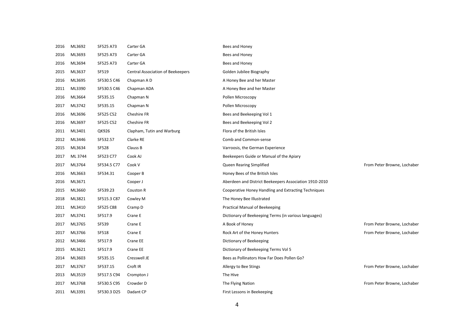| 2016 | ML3692  | SF525 A73    | Carter GA                                | Bees and Honey                                         |                             |
|------|---------|--------------|------------------------------------------|--------------------------------------------------------|-----------------------------|
| 2016 | ML3693  | SF525 A73    | Carter GA                                | Bees and Honey                                         |                             |
| 2016 | ML3694  | SF525 A73    | Carter GA                                | Bees and Honey                                         |                             |
| 2015 | ML3637  | SF519        | <b>Central Association of Beekeepers</b> | Golden Jubilee Biography                               |                             |
| 2016 | ML3695  | SF530.5 C46  | Chapman A D                              | A Honey Bee and her Master                             |                             |
| 2011 | ML3390  | SF530.5 C46  | Chapman ADA                              | A Honey Bee and her Master                             |                             |
| 2016 | ML3664  | SF535.15     | Chapman N                                | Pollen Microscopy                                      |                             |
| 2017 | ML3742  | SF535.15     | Chapman N                                | Pollen Microscopy                                      |                             |
| 2016 | ML3696  | SF525 C52    | Cheshire FR                              | Bees and Beekeeping Vol 1                              |                             |
| 2016 | ML3697  | SF525 C52    | Cheshire FR                              | Bees and Beekeeping Vol 2                              |                             |
| 2011 | ML3401  | QK926        | Clapham, Tutin and Warburg               | Flora of the British Isles                             |                             |
| 2012 | ML3446  | SF532.57     | Clarke RE                                | Comb and Common-sense                                  |                             |
| 2015 | ML3634  | <b>SF528</b> | Clauss B                                 | Varroosis, the German Experience                       |                             |
| 2017 | ML 3744 | SF523 C77    | Cook AJ                                  | Beekeepers Guide or Manual of the Apiary               |                             |
| 2017 | ML3764  | SF534.5 C77  | Cook V                                   | Queen Rearing Simplified                               | From Peter Browne, Lochaber |
| 2016 | ML3663  | SF534.31     | Cooper B                                 | Honey Bees of the British Isles                        |                             |
| 2016 | ML3671  |              | Cooper J                                 | Aberdeen and District Beekeepers Association 1910-2010 |                             |
| 2015 | ML3660  | SF539.23     | Couston R                                | Cooperative Honey Handling and Extracting Techniques   |                             |
| 2018 | ML3821  | SF515.3 C87  | Cowley M                                 | The Honey Bee Illustrated                              |                             |
| 2011 | ML3410  | SF525 C88    | Cramp D                                  | <b>Practical Manual of Beekeeping</b>                  |                             |
| 2017 | ML3741  | SF517.9      | Crane E                                  | Dictionary of Beekeeping Terms (in various languages)  |                             |
| 2017 | ML3765  | <b>SF539</b> | Crane E                                  | A Book of Honey                                        | From Peter Browne, Lochaber |
| 2017 | ML3766  | <b>SF518</b> | Crane E                                  | Rock Art of the Honey Hunters                          | From Peter Browne, Lochaber |
| 2012 | ML3466  | SF517.9      | Crane EE                                 | Dictionary of Beekeeping                               |                             |
| 2015 | ML3621  | SF517.9      | Crane EE                                 | Dictionary of Beekeeping Terms Vol 5                   |                             |
| 2014 | ML3603  | SF535.15     | Cresswell JE                             | Bees as Pollinators How Far Does Pollen Go?            |                             |
| 2017 | ML3767  | SF537.15     | Croft IR                                 | Allergy to Bee Stings                                  | From Peter Browne, Lochaber |
| 2013 | ML3519  | SF517.5 C94  | Crompton J                               | The Hive                                               |                             |
| 2017 | ML3768  | SF530.5 C95  | Crowder D                                | The Flying Nation                                      | From Peter Browne, Lochaber |
| 2011 | ML3391  | SF530.3 D25  | Dadant CP                                | First Lessons in Beekeeping                            |                             |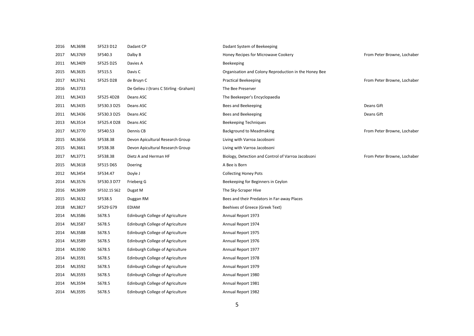| 2016 | ML3698 | SF523 D12    | Dadant CP                              | Dadant System of Beekeeping                           |                             |
|------|--------|--------------|----------------------------------------|-------------------------------------------------------|-----------------------------|
| 2017 | ML3769 | SF540.3      | Dalby B                                | Honey Recipes for Microwave Cookery                   | From Peter Browne, Lochaber |
| 2011 | ML3409 | SF525 D25    | Davies A                               | Beekeeping                                            |                             |
| 2015 | ML3635 | SF515.5      | Davis C                                | Organisation and Colony Reproduction in the Honey Bee |                             |
| 2017 | ML3761 | SF525 D28    | de Bruyn C                             | <b>Practical Beekeeping</b>                           | From Peter Browne, Lochaber |
| 2016 | ML3733 |              | De Gelieu J (trans C Stirling -Graham) | The Bee Preserver                                     |                             |
| 2011 | ML3433 | SF525 4D28   | Deans ASC                              | The Beekeeper's Encyclopaedia                         |                             |
| 2011 | ML3435 | SF530.3 D25  | Deans ASC                              | Bees and Beekeeping                                   | Deans Gift                  |
| 2011 | ML3436 | SF530.3 D25  | Deans ASC                              | Bees and Beekeeping                                   | Deans Gift                  |
| 2013 | ML3514 | SF525.4 D28  | Deans ASC                              | <b>Beekeeping Techniques</b>                          |                             |
| 2017 | ML3770 | SF540.53     | Dennis CB                              | <b>Background to Meadmaking</b>                       | From Peter Browne, Lochaber |
| 2015 | ML3656 | SF538.38     | Devon Apicultural Research Group       | Living with Varroa Jacobsoni                          |                             |
| 2015 | ML3661 | SF538.38     | Devon Apicultural Research Group       | Living with Varroa Jacobsoni                          |                             |
| 2017 | ML3771 | SF538.38     | Dietz A and Herman HF                  | Biology, Detection and Control of Varroa Jacobsoni    | From Peter Browne, Lochaber |
| 2015 | ML3618 | SF515 D65    | Doering                                | A Bee is Born                                         |                             |
| 2012 | ML3454 | SF534.47     | Doyle J                                | <b>Collecting Honey Pots</b>                          |                             |
| 2014 | ML3576 | SF530.3 D77  | Frieberg G                             | Beekeeping for Beginners in Ceylon                    |                             |
| 2016 | ML3699 | SF532.15 S62 | Dugat M                                | The Sky-Scraper Hive                                  |                             |
| 2015 | ML3632 | SF538.5      | Duggan RM                              | Bees and their Predators in Far-away Places           |                             |
| 2018 | ML3827 | SF529 G79    | <b>EDIAM</b>                           | Beehives of Greece (Greek Text)                       |                             |
| 2014 | ML3586 | S678.5       | Edinburgh College of Agriculture       | Annual Report 1973                                    |                             |
| 2014 | ML3587 | S678.5       | Edinburgh College of Agriculture       | Annual Report 1974                                    |                             |
| 2014 | ML3588 | S678.5       | Edinburgh College of Agriculture       | Annual Report 1975                                    |                             |
| 2014 | ML3589 | S678.5       | Edinburgh College of Agriculture       | Annual Report 1976                                    |                             |
| 2014 | ML3590 | S678.5       | Edinburgh College of Agriculture       | Annual Report 1977                                    |                             |
| 2014 | ML3591 | S678.5       | Edinburgh College of Agriculture       | Annual Report 1978                                    |                             |
| 2014 | ML3592 | S678.5       | Edinburgh College of Agriculture       | Annual Report 1979                                    |                             |
| 2014 | ML3593 | S678.5       | Edinburgh College of Agriculture       | Annual Report 1980                                    |                             |
| 2014 | ML3594 | S678.5       | Edinburgh College of Agriculture       | Annual Report 1981                                    |                             |
| 2014 | ML3595 | S678.5       | Edinburgh College of Agriculture       | Annual Report 1982                                    |                             |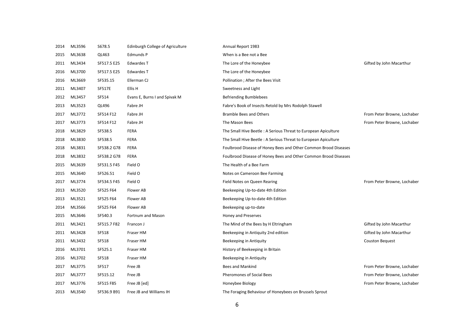| 2014 | ML3596 | S678.5        | Edinburgh College of Agriculture | Annual Report 1983                                              |                             |
|------|--------|---------------|----------------------------------|-----------------------------------------------------------------|-----------------------------|
| 2015 | ML3638 | QL463         | <b>Edmunds P</b>                 | When is a Bee not a Bee                                         |                             |
| 2011 | ML3434 | SF517.5 E25   | Edwardes T                       | The Lore of the Honeybee                                        | Gifted by John Macarthur    |
| 2016 | ML3700 | SF517.5 E25   | Edwardes T                       | The Lore of the Honeybee                                        |                             |
| 2016 | ML3669 | SF535.15      | Ellerman CJ                      | Pollination ; After the Bees Visit                              |                             |
| 2011 | ML3407 | <b>SF517E</b> | Ellis H                          | Sweetness and Light                                             |                             |
| 2012 | ML3457 | SF514         | Evans E, Burns I and Spivak M    | <b>Befriending Bumblebees</b>                                   |                             |
| 2013 | ML3523 | QL496         | Fabre JH                         | Fabre's Book of Insects Retold by Mrs Rodolph Stawell           |                             |
| 2017 | ML3772 | SF514 F12     | Fabre JH                         | <b>Bramble Bees and Others</b>                                  | From Peter Browne, Lochaber |
| 2017 | ML3773 | SF514 F12     | Fabre JH                         | The Mason Bees                                                  | From Peter Browne, Lochaber |
| 2018 | ML3829 | SF538.5       | <b>FERA</b>                      | The Small Hive Beetle: A Serious Threat to European Apiculture  |                             |
| 2018 | ML3830 | SF538.5       | FERA                             | The Small Hive Beetle: A Serious Threat to European Apiculture  |                             |
| 2018 | ML3831 | SF538.2 G78   | <b>FERA</b>                      | Foulbrood Disease of Honey Bees and Other Common Brood Diseases |                             |
| 2018 | ML3832 | SF538.2 G78   | <b>FERA</b>                      | Foulbrood Disease of Honey Bees and Other Common Brood Diseases |                             |
| 2015 | ML3639 | SF531.5 F45   | Field O                          | The Health of a Bee Farm                                        |                             |
| 2015 | ML3640 | SF526.51      | Field O                          | Notes on Cameroon Bee Farming                                   |                             |
| 2017 | ML3774 | SF534.5 F45   | Field O                          | Field Notes on Queen Rearing                                    | From Peter Browne, Lochaber |
| 2013 | ML3520 | SF525 F64     | Flower AB                        | Beekeeping Up-to-date 4th Edition                               |                             |
| 2013 | ML3521 | SF525 F64     | Flower AB                        | Beekeeping Up-to-date 4th Edition                               |                             |
| 2014 | ML3566 | SF525 F64     | Flower AB                        | Beekeeping up-to-date                                           |                             |
| 2015 | ML3646 | SF540.3       | Fortnum and Mason                | Honey and Preserves                                             |                             |
| 2011 | ML3421 | SF515.7 F82   | Francon J                        | The Mind of the Bees by H Eltringham                            | Gifted by John Macarthur    |
| 2011 | ML3428 | SF518         | Fraser HM                        | Beekeeping in Antiquity 2nd edition                             | Gifted by John Macarthur    |
| 2011 | ML3432 | SF518         | Fraser HM                        | Beekeeping in Antiquity                                         | <b>Couston Bequest</b>      |
| 2016 | ML3701 | SF525.1       | Fraser HM                        | History of Beekeeping in Britain                                |                             |
| 2016 | ML3702 | SF518         | Fraser HM                        | Beekeeping in Antiquity                                         |                             |
| 2017 | ML3775 | SF517         | Free JB                          | <b>Bees and Mankind</b>                                         | From Peter Browne, Lochaber |
| 2017 | ML3777 | SF515.12      | Free JB                          | <b>Pheromones of Social Bees</b>                                | From Peter Browne, Lochaber |
| 2017 | ML3776 | SF515 F85     | Free JB [ed]                     | Honeybee Biology                                                | From Peter Browne, Lochaber |
| 2013 | ML3540 | SF536.9 B91   | Free JB and Williams IH          | The Foraging Behaviour of Honeybees on Brussels Sprout          |                             |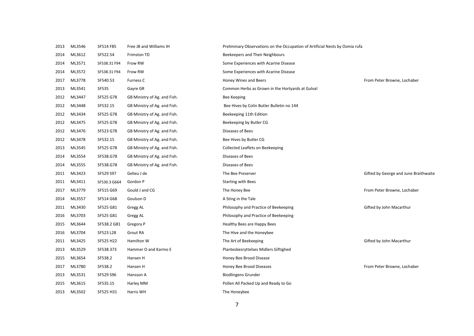| 2013 | ML3546 | SF514 F85    | Free JB and Williams IH      | Preliminary Observations on the Occupation of Artificial Nests by Osmia rufa |                                       |
|------|--------|--------------|------------------------------|------------------------------------------------------------------------------|---------------------------------------|
| 2014 | ML3612 | SF522.54     | Frimston TD                  | Beekeepers and Their Neighbours                                              |                                       |
| 2014 | ML3571 | SF538.31 F94 | Frow RW                      | Some Experiences with Acarine Disease                                        |                                       |
| 2014 | ML3572 | SF538.31 F94 | Frow RW                      | Some Experiences with Acarine Disease                                        |                                       |
| 2017 | ML3778 | SF540.53     | <b>Furness C</b>             | Honey Wines and Beers                                                        | From Peter Browne, Lochaber           |
| 2013 | ML3541 | <b>SF535</b> | Gayre GR                     | Common Herbs as Grown in the Hortyards at Gulval                             |                                       |
| 2012 | ML3447 | SF525 G78    | GB Ministry of Ag. and Fish. | Bee Keeping                                                                  |                                       |
| 2012 | ML3448 | SF532.15     | GB Ministry of Ag. and Fish. | Bee Hives by Colin Butler Bulletin no 144                                    |                                       |
| 2012 | ML3434 | SF525 G78    | GB Ministry of Ag. and Fish. | Beekeeping 11th Edition                                                      |                                       |
| 2012 | ML3475 | SF525 G78    | GB Ministry of Ag. and Fish. | Beekeeping by Butler CG                                                      |                                       |
| 2012 | ML3476 | SF523 G78    | GB Ministry of Ag. and Fish. | Diseases of Bees                                                             |                                       |
| 2012 | ML3478 | SF532.15     | GB Ministry of Ag. and Fish. | Bee Hives by Butler CG                                                       |                                       |
| 2013 | ML3545 | SF525 G78    | GB Ministry of Ag. and Fish. | Collected Leaflets on Beekeeping                                             |                                       |
| 2014 | ML3554 | SF538.G78    | GB Ministry of Ag. and Fish. | Diseases of Bees                                                             |                                       |
| 2014 | ML3555 | SF538.G78    | GB Ministry of Ag. and Fish. | Diseases of Bees                                                             |                                       |
| 2011 | ML3423 | SF529 S97    | Gelieu J de                  | The Bee Preserver                                                            | Gifted by George and June Braithwaite |
| 2011 | ML3411 | SF530.3 G664 | Gordon P                     | <b>Starting with Bees</b>                                                    |                                       |
| 2017 | ML3779 | SF515 G69    | Gould J and CG               | The Honey Bee                                                                | From Peter Browne, Lochaber           |
| 2014 | ML3557 | SF514 G68    | Goulson D                    | A Sting in the Tale                                                          |                                       |
| 2011 | ML3430 | SF525 G81    | Gregg AL                     | Philosophy and Practice of Beekeeping                                        | Gifted by John Macarthur              |
| 2016 | ML3703 | SF525 G81    | Gregg AL                     | Philosophy and Practice of Beekeeping                                        |                                       |
| 2015 | ML3644 | SF538.2 G81  | Gregory P                    | Healthy Bees are Happy Bees                                                  |                                       |
| 2016 | ML3704 | SF523 L28    | Grout RA                     | The Hive and the Honeybee                                                    |                                       |
| 2011 | ML3425 | SF525 H22    | Hamilton W                   | The Art of Beekeeping                                                        | Gifted by John Macarthur              |
| 2013 | ML3529 | SF538.373    | Hammer O and Karmo E         | Plantesbesryttelses Midlers Giftighed                                        |                                       |
| 2015 | ML3654 | SF538.2      | Hansen H                     | Honey Bee Brood Disease                                                      |                                       |
| 2017 | ML3780 | SF538.2      | Hansen H                     | Honey Bee Brood Diseases                                                     | From Peter Browne, Lochaber           |
| 2013 | ML3531 | SF529 S96    | Hansson A                    | <b>Biodlingens Grunder</b>                                                   |                                       |
| 2015 | ML3615 | SF535.15     | Harley MM                    | Pollen All Packed Up and Ready to Go                                         |                                       |
| 2013 | ML3502 | SF525 H31    | Harris WH                    | The Honeybee                                                                 |                                       |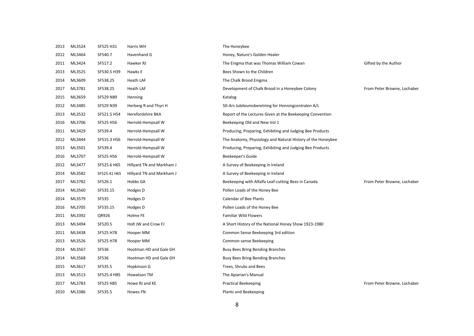| 2013 | ML3524 | SF525 H31    | Harris WH                 | The Honeybee                                                |                             |
|------|--------|--------------|---------------------------|-------------------------------------------------------------|-----------------------------|
| 2012 | ML3464 | SF540.7      | Havenhand G               | Honey, Nature's Golden Healer                               |                             |
| 2011 | ML3424 | SF517.2      | Hawker RJ                 | The Enigma that was Thomas William Cowan                    | Gifted by the Author        |
| 2013 | ML3525 | SF530.5 H39  | Hawks E                   | Bees Shown to the Children                                  |                             |
| 2014 | ML3609 | SF538.25     | Heath LAF                 | The Chalk Brood Enigma                                      |                             |
| 2017 | ML3781 | SF538.25     | Heath LAF                 | Development of Chalk Brood in a Honeybee Colony             | From Peter Browne, Lochaber |
| 2015 | ML3659 | SF529 N89    | Henning                   | Katalog                                                     |                             |
| 2012 | ML3485 | SF529 N39    | Herberg R and Thyri H     | 50-Ars Jubileumsberetning for Honningcentralen A/L          |                             |
| 2013 | ML3532 | SF521.5 H54  | Herefordshire BKA         | Report of the Lectures Given at the Beekeeping Convention   |                             |
| 2016 | ML3706 | SF525 H56    | Herrold-Hempsall W        | Beekeeping Old and New Vol 1                                |                             |
| 2011 | ML3429 | SF539.4      | Herrold-Hempsall W        | Producing, Preparing, Exhibiting and Judging Bee Products   |                             |
| 2012 | ML3444 | SF515.3 H56  | Herrold-Hempsall W        | The Anatomy, Physiology and Natural History of the Honeybee |                             |
| 2013 | ML3501 | SF539.4      | Herrold-Hempsall W        | Producing, Preparing, Exhibiting and Judging Bee Products   |                             |
| 2016 | ML3707 | SF525 H56    | Herrold-Hempsall W        | Beekeeper's Guide                                           |                             |
| 2012 | ML3477 | SF525.6 H65  | Hillyard TN and Markham J | A Survey of Beekeeping in Ireland                           |                             |
| 2014 | ML3582 | SF525.41 H65 | Hillyard TN and Markham J | A Survey of Beekeeping in Ireland                           |                             |
| 2017 | ML3782 | SF526.1      | Hobbs GA                  | Beekeeping with Alfalfa Leaf-cutting Bees in Canada         | From Peter Browne, Lochaber |
| 2014 | ML3560 | SF535.15     | Hodges D                  | Pollen Loads of the Honey Bee                               |                             |
| 2014 | ML3579 | SF535        | Hodges D                  | <b>Calendar of Bee Plants</b>                               |                             |
| 2016 | ML3705 | SF535.15     | Hodges D                  | Pollen Loads of the Honey Bee                               |                             |
| 2011 | ML3392 | QR926        | Holme FE                  | <b>Familiar Wild Flowers</b>                                |                             |
| 2013 | ML3494 | SF520.5      | Holt JW and Crow FJ       | A Short History of the National Honey Show 1923-1980        |                             |
| 2011 | ML3438 | SF525 H78    | Hooper MM                 | Common Sense Beekeeping 3rd edition                         |                             |
| 2013 | ML3526 | SF525 H78    | Hooper MM                 | Common-sense Beekeeping                                     |                             |
| 2014 | ML3567 | SF536        | Hootman HD and Gale GH    | <b>Busy Bees Bring Bending Branches</b>                     |                             |
| 2014 | ML3568 | SF536        | Hootman HD and Gale GH    | <b>Busy Bees Bring Bending Branches</b>                     |                             |
| 2015 | ML3617 | SF535.5      | Hopkinson G               | Trees, Shrubs and Bees                                      |                             |
| 2013 | ML3513 | SF525.4 H85  | Howatson TM               | The Apiarian's Manual                                       |                             |
| 2017 | ML3783 | SF525 H85    | Howe RJ and KE            | <b>Practical Beekeeping</b>                                 | From Peter Browne, Lochaber |
| 2010 | ML3386 | SF535.5      | Howes FN                  | Plants and Beekeeping                                       |                             |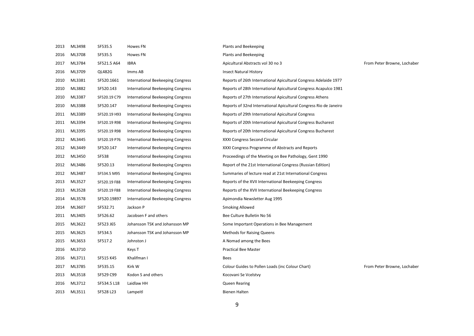| 2013 | ML3498 | SF535.5      | <b>Howes FN</b>                          | Plants and Beekeeping                                             |                             |
|------|--------|--------------|------------------------------------------|-------------------------------------------------------------------|-----------------------------|
| 2016 | ML3708 | SF535.5      | <b>Howes FN</b>                          | Plants and Beekeeping                                             |                             |
| 2017 | ML3784 | SF521.5 A64  | <b>IBRA</b>                              | Apicultural Abstracts vol 30 no 3                                 | From Peter Browne, Lochaber |
| 2016 | ML3709 | QL482G       | Imms AB                                  | <b>Insect Natural History</b>                                     |                             |
| 2010 | ML3381 | SF520.1661   | International Beekeeping Congress        | Reports of 26th International Apicultural Congress Adelaide 1977  |                             |
| 2010 | ML3882 | SF520.143    | International Beekeeping Congress        | Reports of 28th International Apicultural Congress Acapulco 1981  |                             |
| 2010 | ML3387 | SF520.19 C79 | International Beekeeping Congress        | Reports of 27th International Apicultural Congress Athens         |                             |
| 2010 | ML3388 | SF520.147    | <b>International Beekeeping Congress</b> | Reports of 32nd International Apicultural Congress Rio de Janeiro |                             |
| 2011 | ML3389 | SF520.19 H93 | International Beekeeping Congress        | Reports of 29th International Apicultural Congress                |                             |
| 2011 | ML3394 | SF520.19 R98 | <b>International Beekeeping Congress</b> | Reports of 20th International Apicultural Congress Bucharest      |                             |
| 2011 | ML3395 | SF520.19 R98 | International Beekeeping Congress        | Reports of 20th International Apicultural Congress Bucharest      |                             |
| 2012 | ML3445 | SF520.19 P76 | International Beekeeping Congress        | XXXI Congress Second Circular                                     |                             |
| 2012 | ML3449 | SF520.147    | <b>International Beekeeping Congress</b> | XXXI Congress Programme of Abstracts and Reports                  |                             |
| 2012 | ML3450 | <b>SF538</b> | <b>International Beekeeping Congress</b> | Proceedings of the Meeting on Bee Pathology, Gent 1990            |                             |
| 2012 | ML3486 | SF520.13     | International Beekeeping Congress        | Report of the 21st International Congress (Russian Edition)       |                             |
| 2012 | ML3487 | SF534.5 M95  | International Beekeeping Congress        | Summaries of lecture read at 21st International Congress          |                             |
| 2013 | ML3527 | SF520.19 F88 | <b>International Beekeeping Congress</b> | Reports of the XVII International Beekeeping Congress             |                             |
| 2013 | ML3528 | SF520.19 F88 | <b>International Beekeeping Congress</b> | Reports of the XVII International Beekeeping Congress             |                             |
| 2014 | ML3578 | SF520.19897  | International Beekeeping Congress        | Apimondia Newsletter Aug 1995                                     |                             |
| 2014 | ML3607 | SF532.71     | Jackson P                                | Smoking Allowed                                                   |                             |
| 2011 | ML3405 | SF526.62     | Jacobsen F and others                    | Bee Culture Bulletin No 56                                        |                             |
| 2015 | ML3622 | SF523 J65    | Johansson TSK and Johansson MP           | Some Important Operations in Bee Management                       |                             |
| 2015 | ML3625 | SF534.5      | Johansson TSK and Johansson MP           | <b>Methods for Raising Queens</b>                                 |                             |
| 2015 | ML3653 | SF517.2      | Johnston J                               | A Nomad among the Bees                                            |                             |
| 2016 | ML3710 |              | Keys T                                   | <b>Practical Bee Master</b>                                       |                             |
| 2016 | ML3711 | SF515 K45    | Khalifman I                              | Bees                                                              |                             |
| 2017 | ML3785 | SF535.15     | Kirk W                                   | Colour Guides to Pollen Loads (inc Colour Chart)                  | From Peter Browne, Lochaber |
| 2013 | ML3518 | SF529 C99    | Kodon S and others                       | Kocovani Se Vcelstvy                                              |                             |
| 2016 | ML3712 | SF534.5 L18  | Laidlaw HH                               | <b>Queen Rearing</b>                                              |                             |
| 2013 | ML3511 | SF528 L23    | Lampeitl                                 | Bienen Halten                                                     |                             |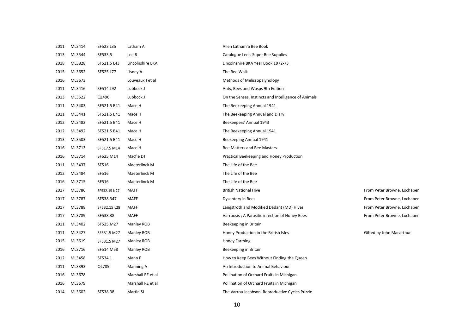| 2011 | ML3414 | SF523 L35    | Latham A          | Allen Latham'a Bee Book                              |                             |
|------|--------|--------------|-------------------|------------------------------------------------------|-----------------------------|
| 2013 | ML3544 | SF533.5      | Lee R             | Catalogue Lee's Super Bee Supplies                   |                             |
| 2018 | ML3828 | SF521.5 L43  | Lincolnshire BKA  | Lincolnshire BKA Year Book 1972-73                   |                             |
| 2015 | ML3652 | SF525 L77    | Lisney A          | The Bee Walk                                         |                             |
| 2016 | ML3673 |              | Louveaux J et al  | Methods of Melissopalynology                         |                             |
| 2011 | ML3416 | SF514 L92    | Lubbock J         | Ants, Bees and Wasps 9th Edition                     |                             |
| 2013 | ML3522 | QL496        | Lubbock J         | On the Senses, Instincts and Intelligence of Animals |                             |
| 2011 | ML3403 | SF521.5 B41  | Mace H            | The Beekeeping Annual 1941                           |                             |
| 2011 | ML3441 | SF521.5 B41  | Mace H            | The Beekeeping Annual and Diary                      |                             |
| 2012 | ML3482 | SF521.5 B41  | Mace H            | Beekeepers' Annual 1943                              |                             |
| 2012 | ML3492 | SF521.5 B41  | Mace H            | The Beekeeping Annual 1941                           |                             |
| 2013 | ML3503 | SF521.5 B41  | Mace H            | Beekeeping Annual 1941                               |                             |
| 2016 | ML3713 | SF517.5 M14  | Mace H            | Bee Matters and Bee Masters                          |                             |
| 2016 | ML3714 | SF525 M14    | Macfie DT         | Practical Beekeeping and Honey Production            |                             |
| 2011 | ML3437 | SF516        | Maeterlinck M     | The Life of the Bee                                  |                             |
| 2012 | ML3484 | SF516        | Maeterlinck M     | The Life of the Bee                                  |                             |
| 2016 | ML3715 | SF516        | Maeterlinck M     | The Life of the Bee                                  |                             |
| 2017 | ML3786 | SF532.15 N27 | <b>MAFF</b>       | <b>British National Hive</b>                         | From Peter Browne, Lochaber |
| 2017 | ML3787 | SF538.347    | <b>MAFF</b>       | Dysentery in Bees                                    | From Peter Browne, Lochaber |
| 2017 | ML3788 | SF532.15 L28 | <b>MAFF</b>       | Langstroth and Modified Dadant (MD) Hives            | From Peter Browne, Lochaber |
| 2017 | ML3789 | SF538.38     | <b>MAFF</b>       | Varroosis ; A Parasitic infection of Honey Bees      | From Peter Browne, Lochaber |
| 2011 | ML3402 | SF525.M27    | Manley ROB        | Beekeeping in Britain                                |                             |
| 2011 | ML3427 | SF531.5 M27  | Manley ROB        | Honey Production in the British Isles                | Gifted by John Macarthur    |
| 2015 | ML3619 | SF531.5 M27  | Manley ROB        | Honey Farming                                        |                             |
| 2016 | ML3716 | SF514 M58    | Manley ROB        | Beekeeping in Britain                                |                             |
| 2012 | ML3458 | SF534.1      | Mann P            | How to Keep Bees Without Finding the Queen           |                             |
| 2011 | ML3393 | QL785        | Manning A         | An Introduction to Animal Behaviour                  |                             |
| 2016 | ML3678 |              | Marshall RE et al | Pollination of Orchard Fruits in Michigan            |                             |
| 2016 | ML3679 |              | Marshall RE et al | Pollination of Orchard Fruits in Michigan            |                             |
| 2014 | ML3602 | SF538.38     | Martin SJ         | The Varroa Jacobsoni Reproductive Cycles Puzzle      |                             |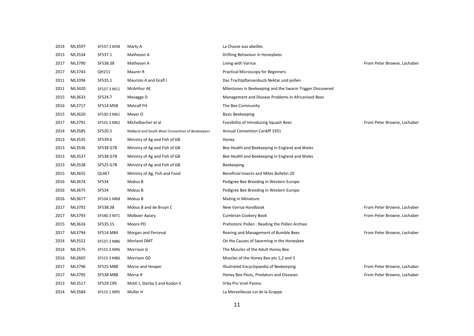| 2014 | ML3597 | SF537.3 M38 | Marty A                                         | La Chasse aux abeilles                                    |                             |
|------|--------|-------------|-------------------------------------------------|-----------------------------------------------------------|-----------------------------|
| 2013 | ML3534 | SF537.1     | Matheson A                                      | Drifting Behaviour in Honeybees                           |                             |
| 2017 | ML3790 | SF538.38    | Matheson A                                      | Living with Varroa                                        | From Peter Browne, Lochaber |
| 2017 | ML3743 | QH211       | Maurer R                                        | <b>Practical Microscopy for Beginners</b>                 |                             |
| 2011 | ML3396 | SF535.1     | Maurizio A and Grafl I                          | Das Trachtpflanzenbucb Nektar und pollen                  |                             |
| 2011 | ML3420 | SF537.3 M11 | McArthur AE                                     | Milestones in Beekeeping and the Swarm Trigger Discovered |                             |
| 2015 | ML3633 | SF524.7     | Mesagge D                                       | Management and Disease Problems in Africanised Bees       |                             |
| 2016 | ML3717 | SF514 M58   | <b>Metcalf FH</b>                               | The Bee Community                                         |                             |
| 2015 | ML3620 | SF530.3 M61 | Meyer O                                         | <b>Basic Beekeeping</b>                                   |                             |
| 2017 | ML3791 | SF531.3 M62 | Michelbacher et al                              | Feasibility of Introducing Squash Bees                    | From Peter Browne, Lochaber |
| 2014 | ML3585 | SF520.5     | Midland and South West Convention of Beekeepers | <b>Annual Convention Cardiff 1931</b>                     |                             |
| 2013 | ML3535 | SF539.6     | Ministry of Ag and Fish of GB                   | Honey                                                     |                             |
| 2013 | ML3536 | SF538 G78   | Ministry of Ag and Fish of GB                   | Bee Health and Beekeeping in England and Wales            |                             |
| 2013 | ML3537 | SF538 G78   | Ministry of Ag and Fish of GB                   | Bee Health and Beekeeping in England and Wales            |                             |
| 2013 | ML3538 | SF525 G78   | Ministry of Ag and Fish of GB                   | Beekeeping                                                |                             |
| 2015 | ML3655 | QL467       | Ministry of Ag, Fish and Food                   | Beneficial Insects and Mites Bulletin 20                  |                             |
| 2016 | ML3674 | SF534       | Mobus B                                         | Pedigree Bee Breeding in Western Europe                   |                             |
| 2016 | ML3675 | SF534       | Mobus B                                         | Pedigree Bee Breeding in Western Europe                   |                             |
| 2016 | ML3677 | SF534.5 M68 | Mobus B                                         | Mating in Miniature                                       |                             |
| 2017 | ML3792 | SF538.38    | Mobus B and de Bruyn C                          | New Varroa Handbook                                       | From Peter Browne, Lochaber |
| 2017 | ML3793 | SF540.3 M71 | Molboer Apiary                                  | Cumbrian Cookery Book                                     | From Peter Browne, Lochaber |
| 2015 | ML3616 | SF535.15    | Moore PD                                        | Prehistoric Pollen: Reading the Pollen Archive            |                             |
| 2017 | ML3794 | SF514 M84   | Morgan and Perceval                             | Rearing and Management of Bumble Bees                     | From Peter Browne, Lochaber |
| 2014 | ML3552 | SF537.3 M86 | <b>Morland DMT</b>                              | On the Causes of Swarming in the Honeybee                 |                             |
| 2014 | ML3575 | SF515.3 M96 | Morrison G                                      | The Muscles of the Adult Honey Bee                        |                             |
| 2016 | ML2665 | SF515.3 M86 | Morrison GD                                     | Muscles of the Honey Bee pts 1,2 and 3                    |                             |
| 2017 | ML3796 | SF525 M88   | Morse and Hooper                                | Illustrated Encyclopaedia of Beekeeping                   | From Peter Browne, Lochaber |
| 2017 | ML3795 | SF538 M88   | Morse R                                         | Honey Bee Pests, Predators and Diseases                   | From Peter Browne, Lochaber |
| 2013 | ML3517 | SF529 C99   | Mottl J, Sterba S and Kodon S                   | Vrby Pro Vceli Pastvu                                     |                             |
| 2014 | ML3584 | SF515.1 M95 | Muller H                                        | La Merveilleuse Loi de la Grappe                          |                             |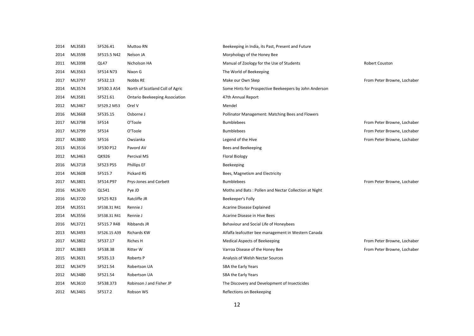| 2014 | ML3583 | SF526.41     | Muttoo RN                             | Beekeeping in India, its Past, Present and Future      |                             |
|------|--------|--------------|---------------------------------------|--------------------------------------------------------|-----------------------------|
| 2014 | ML3598 | SF515.5 N42  | Nelson JA                             | Morphology of the Honey Bee                            |                             |
| 2011 | ML3398 | QL47         | Nicholson HA                          | Manual of Zoology for the Use of Students              | Robert Couston              |
| 2014 | ML3563 | SF514 N73    | Nixon G                               | The World of Beekeeping                                |                             |
| 2017 | ML3797 | SF532.13     | Nobbs RE                              | Make our Own Skep                                      | From Peter Browne, Lochaber |
| 2014 | ML3574 | SF530.3 A54  | North of Scotland Coll of Agric       | Some Hints for Prospective Beekeepers by John Anderson |                             |
| 2014 | ML3581 | SF521.61     | <b>Ontario Beekeeping Association</b> | 47th Annual Report                                     |                             |
| 2012 | ML3467 | SF529.2 M53  | Orel V                                | Mendel                                                 |                             |
| 2016 | ML3668 | SF535.15     | Osborne J                             | Pollinator Management: Matching Bees and Flowers       |                             |
| 2017 | ML3798 | SF514        | O'Toole                               | <b>Bumblebees</b>                                      | From Peter Browne, Lochaber |
| 2017 | ML3799 | SF514        | O'Toole                               | <b>Bumblebees</b>                                      | From Peter Browne, Lochaber |
| 2017 | ML3800 | SF516        | Owsianka                              | Legend of the Hive                                     | From Peter Browne, Lochaber |
| 2013 | ML3516 | SF530 P12    | Pavord AV                             | Bees and Beekeeping                                    |                             |
| 2012 | ML3463 | QK926        | Percival MS                           | <b>Floral Biology</b>                                  |                             |
| 2016 | ML3718 | SF523 P55    | <b>Phillips EF</b>                    | Beekeeping                                             |                             |
| 2014 | ML3608 | SF515.7      | Pickard RS                            | Bees, Magnetism and Electricity                        |                             |
| 2017 | ML3801 | SF514.P97    | Prys-Jones and Corbett                | <b>Bumblebees</b>                                      | From Peter Browne, Lochaber |
| 2016 | ML3670 | QL541        | Pye JD                                | Moths and Bats: Pollen and Nectar Collection at Night  |                             |
| 2016 | ML3720 | SF525 R23    | Ratcliffe JR                          | Beekeeper's Folly                                      |                             |
| 2014 | ML3551 | SF538.31 R41 | Rennie J                              | <b>Acarine Disease Explained</b>                       |                             |
| 2014 | ML3556 | SF538.31 R41 | Rennie J                              | Acarine Disease in Hive Bees                           |                             |
| 2016 | ML3721 | SF515.7 R48  | Ribbands JR                           | Behaviour and Social Life of Honeybees                 |                             |
| 2013 | ML3493 | SF526.15 A39 | <b>Richards KW</b>                    | Alfalfa leafcutter bee management in Western Canada    |                             |
| 2017 | ML3802 | SF537.17     | Riches H                              | <b>Medical Aspects of Beekeeping</b>                   | From Peter Browne, Lochaber |
| 2017 | ML3803 | SF538.38     | <b>Ritter W</b>                       | Varroa Disease of the Honey Bee                        | From Peter Browne, Lochaber |
| 2015 | ML3631 | SF535.13     | Roberts P                             | Analysis of Welsh Nectar Sources                       |                             |
| 2012 | ML3479 | SF521.54     | Robertson UA                          | SBA the Early Years                                    |                             |
| 2012 | ML3480 | SF521.54     | Robertson UA                          | SBA the Early Years                                    |                             |
| 2014 | ML3610 | SF538.373    | Robinson J and Fisher JP              | The Discovery and Development of Insecticides          |                             |
| 2012 | ML3465 | SF517.2      | Robson WS                             | Reflections on Beekeeping                              |                             |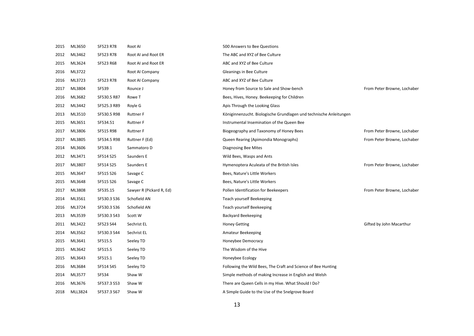| 2015 | ML3650  | SF523 R78    | Root AI                  | 500 Answers to Bee Questions                                       |                             |
|------|---------|--------------|--------------------------|--------------------------------------------------------------------|-----------------------------|
| 2012 | ML3462  | SF523 R78    | Root AI and Root ER      | The ABC and XYZ of Bee Culture                                     |                             |
| 2015 | ML3624  | SF523 R68    | Root AI and Root ER      | ABC and XYZ of Bee Culture                                         |                             |
| 2016 | ML3722  |              | Root AI Company          | Gleanings in Bee Culture                                           |                             |
| 2016 | ML3723  | SF523 R78    | Root AI Company          | ABC and XYZ of Bee Culture                                         |                             |
| 2017 | ML3804  | <b>SF539</b> | Rounce J                 | Honey from Source to Sale and Show-bench                           | From Peter Browne, Lochaber |
| 2016 | ML3682  | SF530.5 R87  | Rowe T                   | Bees, Hives, Honey. Beekeeping for Children                        |                             |
| 2012 | ML3442  | SF525.3 R89  | Royle G                  | Apis Through the Looking Glass                                     |                             |
| 2013 | ML3510  | SF530.5 R98  | <b>Ruttner F</b>         | Königinnenzucht. Biologische Grundlagen und technische Anleitungen |                             |
| 2015 | ML3651  | SF534.51     | <b>Ruttner F</b>         | Instrumental Insemination of the Queen Bee                         |                             |
| 2017 | ML3806  | SF515 R98    | <b>Ruttner F</b>         | Biogeography and Taxonomy of Honey Bees                            | From Peter Browne, Lochaber |
| 2017 | ML3805  | SF534.5 R98  | Ruttner F (Ed)           | Queen Rearing (Apimondia Monographs)                               | From Peter Browne, Lochaber |
| 2014 | ML3606  | SF538.1      | Sammatoro D              | Diagnosing Bee Mites                                               |                             |
| 2012 | ML3471  | SF514 S25    | Saunders E               | Wild Bees, Wasps and Ants                                          |                             |
| 2017 | ML3807  | SF514 S25    | Saunders E               | Hymenoptera Aculeata of the British Isles                          | From Peter Browne, Lochaber |
| 2015 | ML3647  | SF515 S26    | Savage C                 | Bees, Nature's Little Workers                                      |                             |
| 2015 | ML3648  | SF515 S26    | Savage C                 | Bees, Nature's Little Workers                                      |                             |
| 2017 | ML3808  | SF535.15     | Sawyer R (Pickard R, Ed) | Pollen Identification for Beekeepers                               | From Peter Browne, Lochaber |
| 2014 | ML3561  | SF530.3 S36  | Schofield AN             | Teach yourself Beekeeping                                          |                             |
| 2016 | ML3724  | SF530.3 S36  | Schofield AN             | Teach yourself Beekeeping                                          |                             |
| 2013 | ML3539  | SF530.3 S43  | Scott W                  | <b>Backyard Beekeeping</b>                                         |                             |
| 2011 | ML3422  | SF523 S44    | Sechrist EL              | <b>Honey Getting</b>                                               | Gifted by John Macarthur    |
| 2014 | ML3562  | SF530.3 S44  | Sechrist EL              | Amateur Beekeeping                                                 |                             |
| 2015 | ML3641  | SF515.5      | Seeley TD                | Honeybee Democracy                                                 |                             |
| 2015 | ML3642  | SF515.5      | Seeley TD                | The Wisdom of the Hive                                             |                             |
| 2015 | ML3643  | SF515.1      | Seeley TD                | Honeybee Ecology                                                   |                             |
| 2016 | ML3684  | SF514 S45    | Seeley TD                | Following the Wild Bees, The Craft and Science of Bee Hunting      |                             |
| 2014 | ML3577  | SF534        | Shaw W                   | Simple methods of making Increase in English and Welsh             |                             |
| 2016 | ML3676  | SF537.3 S53  | Shaw W                   | There are Queen Cells in my Hive. What Should I Do?                |                             |
| 2018 | MLL3824 | SF537.3 S67  | Shaw W                   | A Simple Guide to the Use of the Snelgrove Board                   |                             |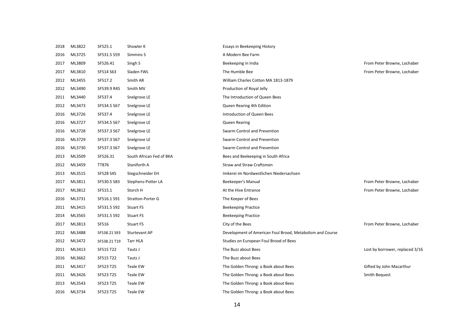| 2018 | ML3822 | SF525.1      | Showler K                | Essays in Beekeeping History                              |                                 |
|------|--------|--------------|--------------------------|-----------------------------------------------------------|---------------------------------|
| 2016 | ML3725 | SF531.5 S59  | Simmins S                | A Modern Bee Farm                                         |                                 |
| 2017 | ML3809 | SF526.41     | Singh S                  | Beekeeping in India                                       | From Peter Browne, Lochaber     |
| 2017 | ML3810 | SF514 S63    | Sladen FWL               | The Humble Bee                                            | From Peter Browne, Lochaber     |
| 2012 | ML3455 | SF517.2      | Smith AR                 | William Charles Cotton MA 1813-1879                       |                                 |
| 2012 | ML3490 | SF539.9 R45  | Smith MV                 | Production of Royal Jelly                                 |                                 |
| 2011 | ML3440 | SF537.4      | Snelgrove LE             | The Introduction of Queen Bees                            |                                 |
| 2012 | ML3473 | SF534.5 S67  | Snelgrove LE             | Queen Rearing 4th Edition                                 |                                 |
| 2016 | ML3726 | SF537.4      | Snelgrove LE             | Introduction of Queen Bees                                |                                 |
| 2016 | ML3727 | SF534.5 S67  | Snelgrove LE             | Queen Rearing                                             |                                 |
| 2016 | ML3728 | SF537.3 S67  | Snelgrove LE             | Swarm Control and Prevention                              |                                 |
| 2016 | ML3729 | SF537.3 S67  | Snelgrove LE             | Swarm Control and Prevention                              |                                 |
| 2016 | ML3730 | SF537.3 S67  | Snelgrove LE             | Swarm Control and Prevention                              |                                 |
| 2013 | ML3509 | SF526.31     | South African Fed of BKA | Bees and Beekeeping in South Africa                       |                                 |
| 2012 | ML3459 | TT876        | Staniforth A             | <b>Straw and Straw Craftsmen</b>                          |                                 |
| 2013 | ML3515 | SF528 S45    | Stegschneider EH         | Imkerei im Nordwestlichen Niedersachsen                   |                                 |
| 2017 | ML3811 | SF530.5 S83  | Stephens-Potter LA       | Beekeeper's Manual                                        | From Peter Browne, Lochaber     |
| 2017 | ML3812 | SF515.1      | Storch H                 | At the Hive Entrance                                      | From Peter Browne, Lochaber     |
| 2016 | ML3731 | SF516.1 S91  | <b>Stratton-Porter G</b> | The Keeper of Bees                                        |                                 |
| 2011 | ML3415 | SF531.5 S92  | <b>Stuart FS</b>         | <b>Beekeeping Practice</b>                                |                                 |
| 2014 | ML3565 | SF531.5 S92  | Stuart FS                | <b>Beekeeping Practice</b>                                |                                 |
| 2017 | ML3813 | SF516        | <b>Stuart FS</b>         | City of the Bees                                          | From Peter Browne, Lochaber     |
| 2012 | ML3488 | SF538.21 S93 | Sturtevant AP            | Development of American Foul Brood, Metabolism and Course |                                 |
| 2012 | ML3472 | SF538.21 T19 | <b>Tarr HLA</b>          | Studies on European Foul Brood of Bees                    |                                 |
| 2011 | ML3413 | SF515 T22    | Tautz J                  | The Buzz about Bees                                       | Lost by borrower, replaced 3/16 |
| 2016 | ML3662 | SF515 T22    | Tautz J                  | The Buzz about Bees                                       |                                 |
| 2011 | ML3417 | SF523 T25    | Teale EW                 | The Golden Throng: a Book about Bees                      | Gifted by John Macarthur        |
| 2011 | ML3426 | SF523 T25    | Teale EW                 | The Golden Throng: a Book about Bees                      | Smith Bequest                   |
| 2013 | ML3543 | SF523 T25    | Teale EW                 | The Golden Throng: a Book about Bees                      |                                 |
| 2016 | ML3734 | SF523 T25    | Teale EW                 | The Golden Throng: a Book about Bees                      |                                 |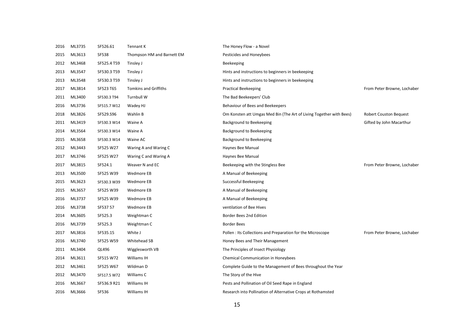| 2016 | ML3735 | SF526.61     | Tennant K                    | The Honey Flow - a Novel                                            |                               |
|------|--------|--------------|------------------------------|---------------------------------------------------------------------|-------------------------------|
| 2015 | ML3613 | <b>SF538</b> | Thompson HM and Barnett EM   | Pesticides and Honeybees                                            |                               |
| 2012 | ML3468 | SF525.4 T59  | Tinsley J                    | Beekeeping                                                          |                               |
| 2013 | ML3547 | SF530.3 T59  | Tinsley J                    | Hints and instructions to beginners in beekeeping                   |                               |
| 2013 | ML3548 | SF530.3 T59  | Tinsley J                    | Hints and instructions to beginners in beekeeping                   |                               |
| 2017 | ML3814 | SF523 T65    | <b>Tomkins and Griffiths</b> | <b>Practical Beekeeping</b>                                         | From Peter Browne, Lochaber   |
| 2011 | ML3400 | SF530.3 T94  | Turnbull W                   | The Bad Beekeepers' Club                                            |                               |
| 2016 | ML3736 | SF515.7 W12  | Wadey HJ                     | Behaviour of Bees and Beekeepers                                    |                               |
| 2018 | ML3826 | SF529.S96    | Wahlin B                     | Om Konsten att Umgas Med Bin (The Art of Living Together with Bees) | <b>Robert Couston Bequest</b> |
| 2011 | ML3419 | SF530.3 W14  | Waine A                      | <b>Background to Beekeeping</b>                                     | Gifted by John Macarthur      |
| 2014 | ML3564 | SF530.3 W14  | Waine A                      | Background to Beekeeping                                            |                               |
| 2015 | ML3658 | SF530.3 W14  | Waine AC                     | <b>Background to Beekeeping</b>                                     |                               |
| 2012 | ML3443 | SF525 W27    | Waring A and Waring C        | Haynes Bee Manual                                                   |                               |
| 2017 | ML3746 | SF525 W27    | Waring C and Waring A        | Haynes Bee Manual                                                   |                               |
| 2017 | ML3815 | SF524.1      | Weaver N and EC              | Beekeeping with the Stingless Bee                                   | From Peter Browne, Lochaber   |
| 2013 | ML3500 | SF525 W39    | Wedmore EB                   | A Manual of Beekeeping                                              |                               |
| 2015 | ML3623 | SF530.3 W39  | Wedmore EB                   | Successful Beekeeping                                               |                               |
| 2015 | ML3657 | SF525 W39    | Wedmore EB                   | A Manual of Beekeeping                                              |                               |
| 2016 | ML3737 | SF525 W39    | Wedmore EB                   | A Manual of Beekeeping                                              |                               |
| 2016 | ML3738 | SF537 57     | Wedmore EB                   | ventilation of Bee Hives                                            |                               |
| 2014 | ML3605 | SF525.3      | Weightman C                  | Border Bees 2nd Edition                                             |                               |
| 2016 | ML3739 | SF525.3      | Weightman C                  | <b>Border Bees</b>                                                  |                               |
| 2017 | ML3816 | SF535.15     | White J                      | Pollen: Its Collections and Preparation for the Microscope          | From Peter Browne, Lochaber   |
| 2016 | ML3740 | SF525 W59    | Whitehead SB                 | Honey Bees and Their Management                                     |                               |
| 2011 | ML3404 | QL496        | Wigglesworth VB              | The Principles of Insect Physiology                                 |                               |
| 2014 | ML3611 | SF515 W72    | Williams IH                  | <b>Chemical Communication in Honeybees</b>                          |                               |
| 2012 | ML3461 | SF525 W67    | Wildman D                    | Complete Guide to the Management of Bees throughout the Year        |                               |
| 2012 | ML3470 | SF517.5 W72  | Williams C                   | The Story of the Hive                                               |                               |
| 2016 | ML3667 | SF536.9 R21  | Williams IH                  | Pests and Pollination of Oil Seed Rape in England                   |                               |
| 2016 | ML3666 | SF536        | Williams IH                  | Research into Pollination of Alternative Crops at Rothamsted        |                               |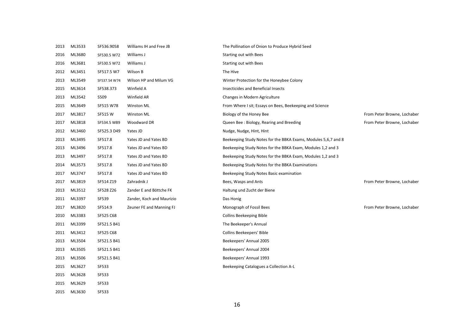| 2013 | ML3533 | SF536.9058   | Williams IH and Free JB   | The Pollination of Onion to Produce Hybrid Seed                |                             |
|------|--------|--------------|---------------------------|----------------------------------------------------------------|-----------------------------|
| 2016 | ML3680 | SF530.5 W72  | Williams J                | <b>Starting out with Bees</b>                                  |                             |
| 2016 | ML3681 | SF530.5 W72  | Williams J                | Starting out with Bees                                         |                             |
| 2012 | ML3451 | SF517.5 W7   | Wilson B                  | The Hive                                                       |                             |
| 2013 | ML3549 | SF537.54 W74 | Wilson HP and Milum VG    | Winter Protection for the Honeybee Colony                      |                             |
| 2015 | ML3614 | SF538.373    | Winfield A                | Insecticides and Beneficial Insects                            |                             |
| 2013 | ML3542 | S509         | Winfield AR               | Changes in Modern Agriculture                                  |                             |
| 2015 | ML3649 | SF515 W78    | Winston ML                | From Where I sit; Essays on Bees, Beekeeping and Science       |                             |
| 2017 | ML3817 | SF515 W      | Winston ML                | Biology of the Honey Bee                                       | From Peter Browne, Lochaber |
| 2017 | ML3818 | SF534.5 W89  | Woodward DR               | Queen Bee: Biology, Rearing and Breeding                       | From Peter Browne, Lochaber |
| 2012 | ML3460 | SF525.3 D49  | Yates JD                  | Nudge, Nudge, Hint, Hint                                       |                             |
| 2013 | ML3495 | SF517.8      | Yates JD and Yates BD     | Beekeeping Study Notes for the BBKA Exams, Modules 5,6,7 and 8 |                             |
| 2013 | ML3496 | SF517.8      | Yates JD and Yates BD     | Beekeeping Study Notes for the BBKA Exam, Modules 1,2 and 3    |                             |
| 2013 | ML3497 | SF517.8      | Yates JD and Yates BD     | Beekeeping Study Notes for the BBKA Exam, Modules 1,2 and 3    |                             |
| 2014 | ML3573 | SF517.8      | Yates JD and Yates BD     | Beekeeping Study Notes for the BBKA Examinations               |                             |
| 2017 | ML3747 | SF517.8      | Yates JD and Yates BD     | Beekeeping Study Notes Basic examination                       |                             |
| 2017 | ML3819 | SF514 Z19    | Zahradnik J               | Bees, Wasps and Ants                                           | From Peter Browne, Lochaber |
| 2013 | ML3512 | SF528 Z26    | Zander E and Böttche FK   | Haltung und Zucht der Biene                                    |                             |
| 2011 | ML3397 | SF539        | Zander, Koch and Maurizio | Das Honig                                                      |                             |
| 2017 | ML3820 | SF514.9      | Zeuner FE and Manning FJ  | Monograph of Fossil Bees                                       | From Peter Browne, Lochaber |
| 2010 | ML3383 | SF525 C68    |                           | <b>Collins Beekeeping Bible</b>                                |                             |
| 2011 | ML3399 | SF521.5 B41  |                           | The Beekeeper's Annual                                         |                             |
| 2011 | ML3412 | SF525 C68    |                           | Collins Beekeepers' Bible                                      |                             |
| 2013 | ML3504 | SF521.5 B41  |                           | Beekeepers' Annual 2005                                        |                             |
| 2013 | ML3505 | SF521.5 B41  |                           | Beekeepers' Annual 2004                                        |                             |
| 2013 | ML3506 | SF521.5 B41  |                           | Beekeepers' Annual 1993                                        |                             |
| 2015 | ML3627 | SF533        |                           | Beekeeping Catalogues a Collection A-L                         |                             |
| 2015 | ML3628 | SF533        |                           |                                                                |                             |
| 2015 | ML3629 | SF533        |                           |                                                                |                             |
| 2015 | ML3630 | SF533        |                           |                                                                |                             |